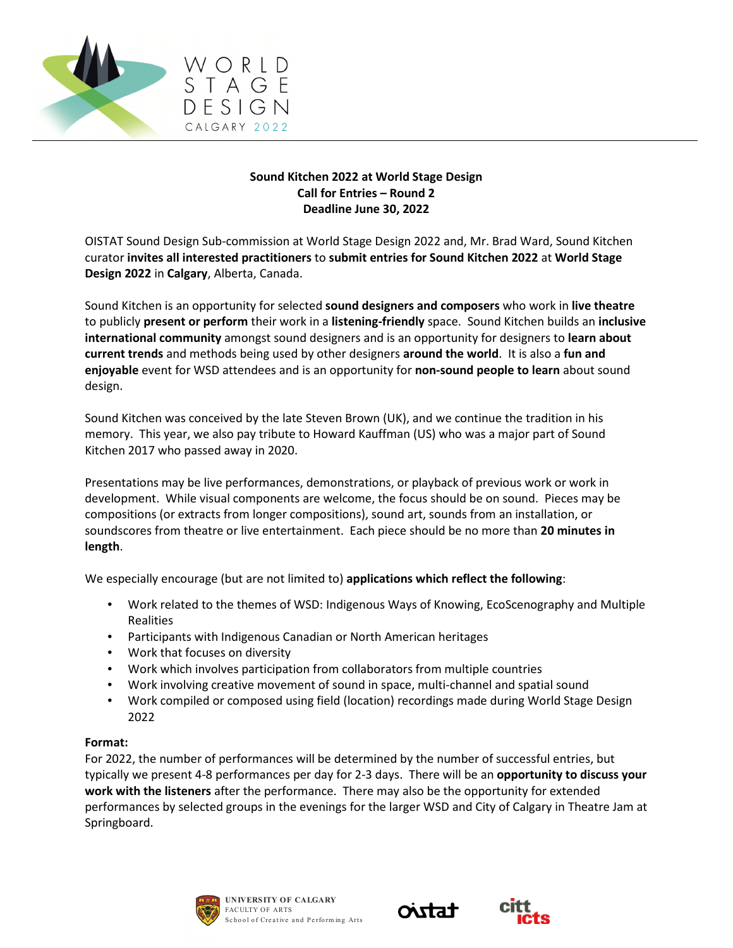

# **Sound Kitchen 2022 at World Stage Design Call for Entries – Round 2 Deadline June 30, 2022**

OISTAT Sound Design Sub-commission at World Stage Design 2022 and, Mr. Brad Ward, Sound Kitchen curator **invites all interested practitioners** to **submit entries for Sound Kitchen 2022** at **World Stage Design 2022** in **Calgary**, Alberta, Canada.

Sound Kitchen is an opportunity for selected **sound designers and composers** who work in **live theatre** to publicly **present or perform** their work in a **listening-friendly** space. Sound Kitchen builds an **inclusive international community** amongst sound designers and is an opportunity for designers to **learn about current trends** and methods being used by other designers **around the world**. It is also a **fun and enjoyable** event for WSD attendees and is an opportunity for **non-sound people to learn** about sound design.

Sound Kitchen was conceived by the late Steven Brown (UK), and we continue the tradition in his memory. This year, we also pay tribute to Howard Kauffman (US) who was a major part of Sound Kitchen 2017 who passed away in 2020.

Presentations may be live performances, demonstrations, or playback of previous work or work in development. While visual components are welcome, the focus should be on sound. Pieces may be compositions (or extracts from longer compositions), sound art, sounds from an installation, or soundscores from theatre or live entertainment. Each piece should be no more than **20 minutes in length**.

We especially encourage (but are not limited to) **applications which reflect the following**:

- Work related to the themes of WSD: Indigenous Ways of Knowing, EcoScenography and Multiple Realities
- Participants with Indigenous Canadian or North American heritages
- Work that focuses on diversity
- Work which involves participation from collaborators from multiple countries
- Work involving creative movement of sound in space, multi-channel and spatial sound
- Work compiled or composed using field (location) recordings made during World Stage Design 2022

# **Format:**

For 2022, the number of performances will be determined by the number of successful entries, but typically we present 4-8 performances per day for 2-3 days. There will be an **opportunity to discuss your work with the listeners** after the performance. There may also be the opportunity for extended performances by selected groups in the evenings for the larger WSD and City of Calgary in Theatre Jam at Springboard.





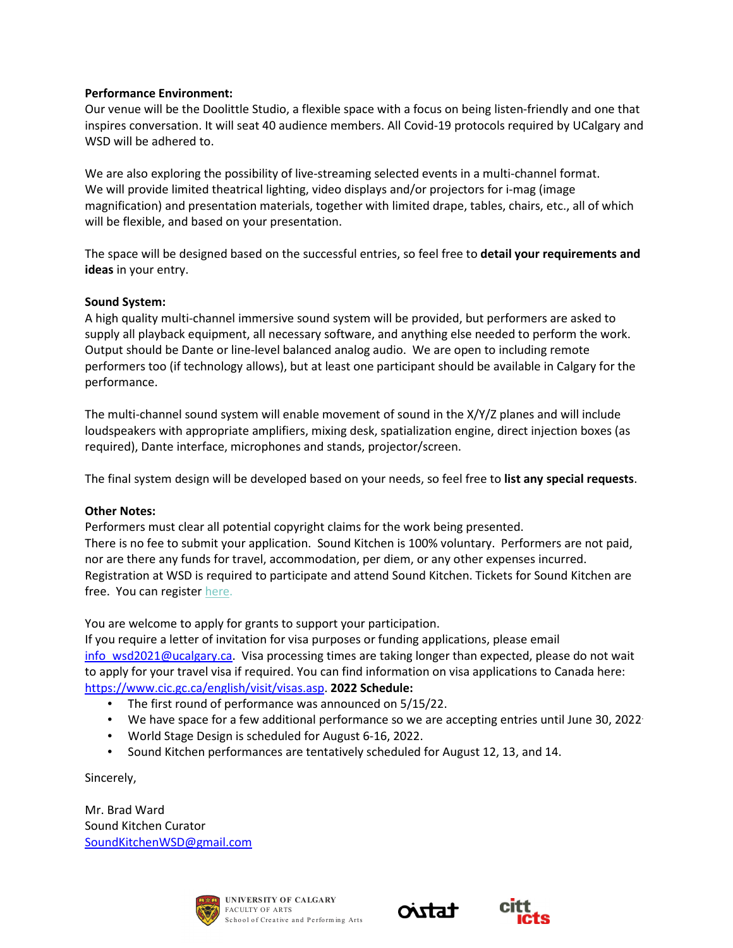# **Performance Environment:**

Our venue will be the Doolittle Studio, a flexible space with a focus on being listen-friendly and one that inspires conversation. It will seat 40 audience members. All Covid-19 protocols required by UCalgary and WSD will be adhered to.

We are also exploring the possibility of live-streaming selected events in a multi-channel format. We will provide limited theatrical lighting, video displays and/or projectors for i-mag (image magnification) and presentation materials, together with limited drape, tables, chairs, etc., all of which will be flexible, and based on your presentation.

The space will be designed based on the successful entries, so feel free to **detail your requirements and ideas** in your entry.

## **Sound System:**

A high quality multi-channel immersive sound system will be provided, but performers are asked to supply all playback equipment, all necessary software, and anything else needed to perform the work. Output should be Dante or line-level balanced analog audio. We are open to including remote performers too (if technology allows), but at least one participant should be available in Calgary for the performance.

The multi-channel sound system will enable movement of sound in the X/Y/Z planes and will include loudspeakers with appropriate amplifiers, mixing desk, spatialization engine, direct injection boxes (as required), Dante interface, microphones and stands, projector/screen.

The final system design will be developed based on your needs, so feel free to **list any special requests**.

## **Other Notes:**

Performers must clear all potential copyright claims for the work being presented. There is no fee to submit your application. Sound Kitchen is 100% voluntary. Performers are not paid, nor are there any funds for travel, accommodation, per diem, or any other expenses incurred. Registration at WSD is required to participate and attend Sound Kitchen. Tickets for Sound Kitchen are free. You can register here.

You are welcome to apply for grants to support your participation.

If you require a letter of invitation for visa purposes or funding applications, please email info\_wsd2021@ucalgary.ca. Visa processing times are taking longer than expected, please do not wait to apply for your travel visa if required. You can find information on visa applications to Canada here: https://www.cic.gc.ca/english/visit/visas.asp. **2022 Schedule:**

- The first round of performance was announced on 5/15/22.
- We have space for a few additional performance so we are accepting entries until June 30, 2022.
- World Stage Design is scheduled for August 6-16, 2022.
- Sound Kitchen performances are tentatively scheduled for August 12, 13, and 14.

Sincerely,

Mr. Brad Ward Sound Kitchen Curator SoundKitchenWSD@gmail.com





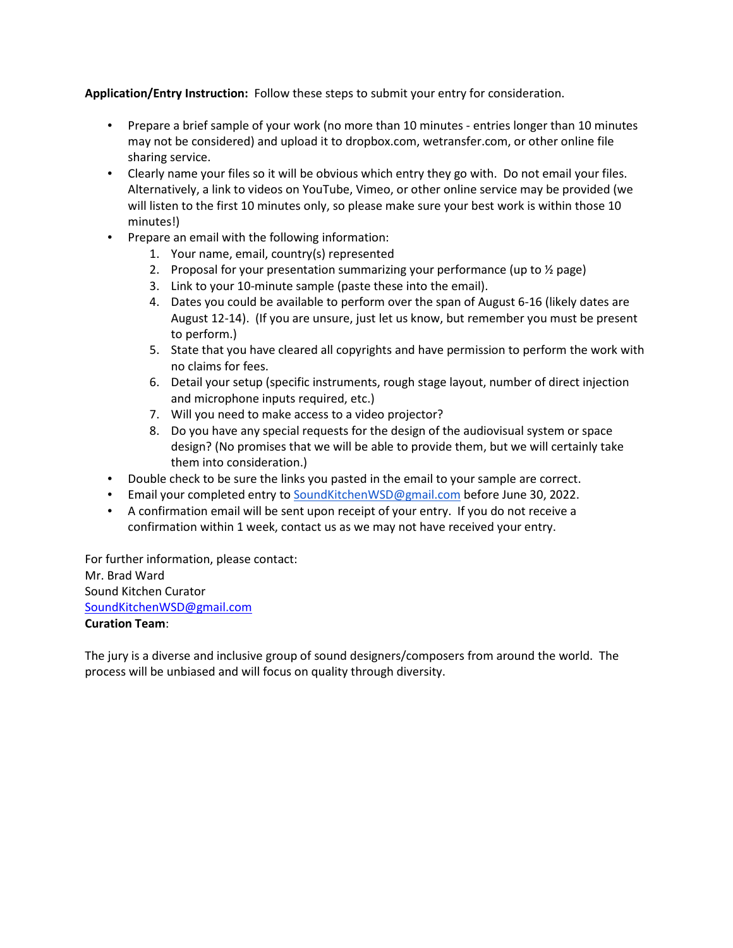**Application/Entry Instruction:** Follow these steps to submit your entry for consideration.

- Prepare a brief sample of your work (no more than 10 minutes entries longer than 10 minutes may not be considered) and upload it to dropbox.com, wetransfer.com, or other online file sharing service.
- Clearly name your files so it will be obvious which entry they go with. Do not email your files. Alternatively, a link to videos on YouTube, Vimeo, or other online service may be provided (we will listen to the first 10 minutes only, so please make sure your best work is within those 10 minutes!)
- Prepare an email with the following information:
	- 1. Your name, email, country(s) represented
	- 2. Proposal for your presentation summarizing your performance (up to  $\frac{1}{2}$  page)
	- 3. Link to your 10-minute sample (paste these into the email).
	- 4. Dates you could be available to perform over the span of August 6-16 (likely dates are August 12-14). (If you are unsure, just let us know, but remember you must be present to perform.)
	- 5. State that you have cleared all copyrights and have permission to perform the work with no claims for fees.
	- 6. Detail your setup (specific instruments, rough stage layout, number of direct injection and microphone inputs required, etc.)
	- 7. Will you need to make access to a video projector?
	- 8. Do you have any special requests for the design of the audiovisual system or space design? (No promises that we will be able to provide them, but we will certainly take them into consideration.)
- Double check to be sure the links you pasted in the email to your sample are correct.
- Email your completed entry to SoundKitchenWSD@gmail.com before June 30, 2022.
- A confirmation email will be sent upon receipt of your entry. If you do not receive a confirmation within 1 week, contact us as we may not have received your entry.

For further information, please contact: Mr. Brad Ward Sound Kitchen Curator SoundKitchenWSD@gmail.com **Curation Team**:

The jury is a diverse and inclusive group of sound designers/composers from around the world. The process will be unbiased and will focus on quality through diversity.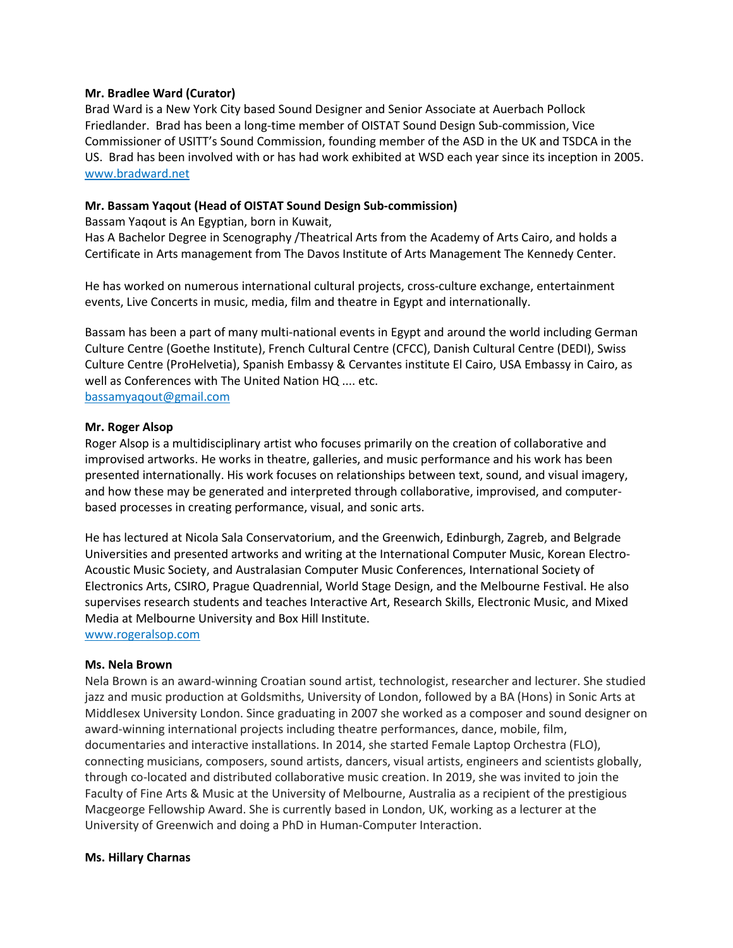## **Mr. Bradlee Ward (Curator)**

Brad Ward is a New York City based Sound Designer and Senior Associate at Auerbach Pollock Friedlander. Brad has been a long-time member of OISTAT Sound Design Sub-commission, Vice Commissioner of USITT's Sound Commission, founding member of the ASD in the UK and TSDCA in the US. Brad has been involved with or has had work exhibited at WSD each year since its inception in 2005. www.bradward.net

## **Mr. Bassam Yaqout (Head of OISTAT Sound Design Sub-commission)**

Bassam Yaqout is An Egyptian, born in Kuwait,

Has A Bachelor Degree in Scenography /Theatrical Arts from the Academy of Arts Cairo, and holds a Certificate in Arts management from The Davos Institute of Arts Management The Kennedy Center.

He has worked on numerous international cultural projects, cross-culture exchange, entertainment events, Live Concerts in music, media, film and theatre in Egypt and internationally.

Bassam has been a part of many multi-national events in Egypt and around the world including German Culture Centre (Goethe Institute), French Cultural Centre (CFCC), Danish Cultural Centre (DEDI), Swiss Culture Centre (ProHelvetia), Spanish Embassy & Cervantes institute El Cairo, USA Embassy in Cairo, as well as Conferences with The United Nation HQ .... etc. bassamyaqout@gmail.com

#### **Mr. Roger Alsop**

Roger Alsop is a multidisciplinary artist who focuses primarily on the creation of collaborative and improvised artworks. He works in theatre, galleries, and music performance and his work has been presented internationally. His work focuses on relationships between text, sound, and visual imagery, and how these may be generated and interpreted through collaborative, improvised, and computerbased processes in creating performance, visual, and sonic arts.

He has lectured at Nicola Sala Conservatorium, and the Greenwich, Edinburgh, Zagreb, and Belgrade Universities and presented artworks and writing at the International Computer Music, Korean Electro-Acoustic Music Society, and Australasian Computer Music Conferences, International Society of Electronics Arts, CSIRO, Prague Quadrennial, World Stage Design, and the Melbourne Festival. He also supervises research students and teaches Interactive Art, Research Skills, Electronic Music, and Mixed Media at Melbourne University and Box Hill Institute.

www.rogeralsop.com

#### **Ms. Nela Brown**

Nela Brown is an award-winning Croatian sound artist, technologist, researcher and lecturer. She studied jazz and music production at Goldsmiths, University of London, followed by a BA (Hons) in Sonic Arts at Middlesex University London. Since graduating in 2007 she worked as a composer and sound designer on award-winning international projects including theatre performances, dance, mobile, film, documentaries and interactive installations. In 2014, she started Female Laptop Orchestra (FLO), connecting musicians, composers, sound artists, dancers, visual artists, engineers and scientists globally, through co-located and distributed collaborative music creation. In 2019, she was invited to join the Faculty of Fine Arts & Music at the University of Melbourne, Australia as a recipient of the prestigious Macgeorge Fellowship Award. She is currently based in London, UK, working as a lecturer at the University of Greenwich and doing a PhD in Human-Computer Interaction.

#### **Ms. Hillary Charnas**